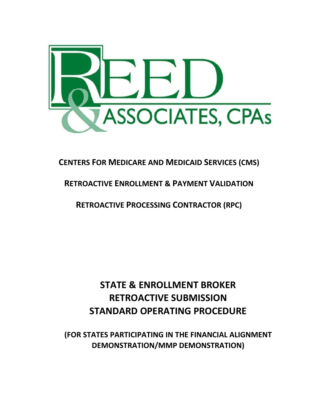

# **CENTERS FOR MEDICARE AND MEDICAID SERVICES (CMS)**

# **RETROACTIVE ENROLLMENT & PAYMENT VALIDATION**

# **RETROACTIVE PROCESSING CONTRACTOR (RPC)**

# **STATE & ENROLLMENT BROKER RETROACTIVE SUBMISSION STANDARD OPERATING PROCEDURE**

**(FOR STATES PARTICIPATING IN THE FINANCIAL ALIGNMENT DEMONSTRATION/MMP DEMONSTRATION)**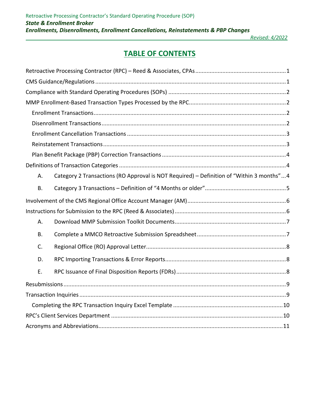# **TABLE OF CONTENTS**

| Α.        | Category 2 Transactions (RO Approval is NOT Required) - Definition of "Within 3 months"4 |
|-----------|------------------------------------------------------------------------------------------|
| Β.        |                                                                                          |
|           |                                                                                          |
|           |                                                                                          |
| Α.        |                                                                                          |
| <b>B.</b> |                                                                                          |
| C.        |                                                                                          |
| D.        |                                                                                          |
| Ε.        |                                                                                          |
|           |                                                                                          |
|           |                                                                                          |
|           |                                                                                          |
|           |                                                                                          |
|           |                                                                                          |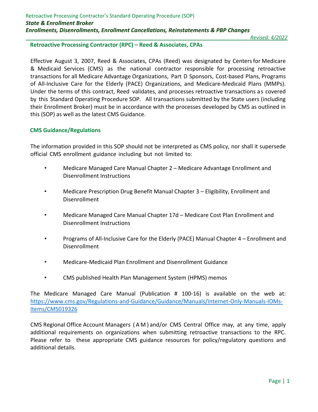#### <span id="page-2-0"></span>**Retroactive Processing Contractor (RPC) – Reed & Associates, CPAs**

Effective August 3, 2007, Reed & Associates, CPAs (Reed) was designated by Centersfor Medicare & Medicaid Services (CMS) as the national contractor responsible for processing retroactive transactions for all Medicare Advantage Organizations, Part D Sponsors, Cost-based Plans, Programs of All‐Inclusive Care for the Elderly (PACE) Organizations, and Medicare-Medicaid Plans (MMPs). Under the terms of this contract, Reed validates, and processes retroactive transactions as covered by this Standard Operating Procedure SOP. All transactions submitted by the State users (including their Enrollment Broker) must be in accordance with the processes developed by CMS as outlined in this (SOP) as well as the latest CMS Guidance.

## <span id="page-2-1"></span>**CMS Guidance/Regulations**

The information provided in this SOP should not be interpreted as CMS policy, nor shall it supersede official CMS enrollment guidance including but not limited to:

- Medicare Managed Care Manual Chapter 2 Medicare Advantage Enrollment and Disenrollment Instructions
- Medicare Prescription Drug Benefit Manual Chapter 3 Eligibility, Enrollment and Disenrollment
- Medicare Managed Care Manual Chapter 17d Medicare Cost Plan Enrollment and Disenrollment Instructions
- Programs of All-Inclusive Care for the Elderly (PACE) Manual Chapter 4 Enrollment and Disenrollment
- Medicare-Medicaid Plan Enrollment and Disenrollment Guidance
- CMS published Health Plan Management System (HPMS) memos

The Medicare Managed Care Manual (Publication # 100‐16) is available on the web at: [https://www.cms.gov/Regulations-and-Guidance/Guidance/Manuals/Internet-Only-Manuals-IOMs-](https://www.cms.gov/Regulations-and-Guidance/Guidance/Manuals/Internet-Only-Manuals-IOMs-Items/CMS019326)[Items/CMS019326](https://www.cms.gov/Regulations-and-Guidance/Guidance/Manuals/Internet-Only-Manuals-IOMs-Items/CMS019326)

CMS Regional Office Account Managers ( A M ) and/or CMS Central Office may, at any time, apply additional requirements on organizations when submitting retroactive transactions to the RPC. Please refer to these appropriate CMS guidance resources for policy/regulatory questions and additional details.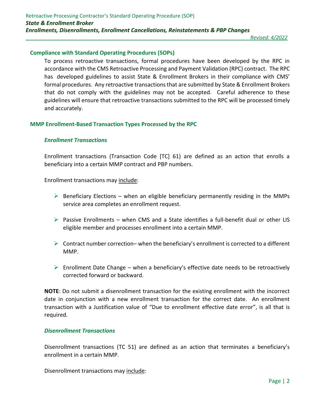#### <span id="page-3-0"></span>**Compliance with Standard Operating Procedures (SOPs)**

To process retroactive transactions, formal procedures have been developed by the RPC in accordance with the CMS Retroactive Processing and Payment Validation (RPC) contract. The RPC has developed guidelines to assist State & Enrollment Brokers in their compliance with CMS' formal procedures. Any retroactive transactions that are submitted by State & Enrollment Brokers that do not comply with the guidelines may not be accepted. Careful adherence to these guidelines will ensure that retroactive transactions submitted to the RPC will be processed timely and accurately.

#### <span id="page-3-2"></span><span id="page-3-1"></span>**MMP Enrollment-Based Transaction Types Processed by the RPC**

#### *Enrollment Transactions*

Enrollment transactions (Transaction Code [TC] 61) are defined as an action that enrolls a beneficiary into a certain MMP contract and PBP numbers.

Enrollment transactions may include:

- $\triangleright$  Beneficiary Elections when an eligible beneficiary permanently residing in the MMPs service area completes an enrollment request.
- $\triangleright$  Passive Enrollments when CMS and a State identifies a full-benefit dual or other LIS eligible member and processes enrollment into a certain MMP.
- $\triangleright$  Contract number correction– when the beneficiary's enrollment is corrected to a different MMP.
- $\triangleright$  Enrollment Date Change when a beneficiary's effective date needs to be retroactively corrected forward or backward.

**NOTE**: Do not submit a disenrollment transaction for the existing enrollment with the incorrect date in conjunction with a new enrollment transaction for the correct date. An enrollment transaction with a Justification value of "Due to enrollment effective date error", is all that is required.

#### <span id="page-3-3"></span>*Disenrollment Transactions*

Disenrollment transactions (TC 51) are defined as an action that terminates a beneficiary's enrollment in a certain MMP.

Disenrollment transactions may include: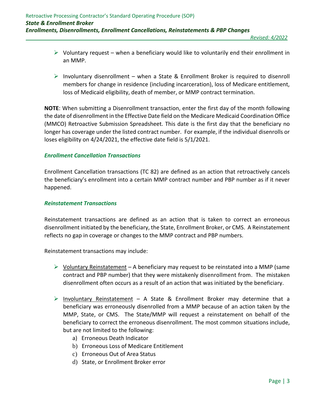- $\triangleright$  Voluntary request when a beneficiary would like to voluntarily end their enrollment in an MMP.
- $\triangleright$  Involuntary disenrollment when a State & Enrollment Broker is required to disenroll members for change in residence (including incarceration), loss of Medicare entitlement, loss of Medicaid eligibility, death of member, or MMP contract termination.

**NOTE**: When submitting a Disenrollment transaction, enter the first day of the month following the date of disenrollment in the Effective Date field on the Medicare Medicaid Coordination Office (MMCO) Retroactive Submission Spreadsheet. This date is the first day that the beneficiary no longer has coverage under the listed contract number. For example, if the individual disenrolls or loses eligibility on 4/24/2021, the effective date field is 5/1/2021.

# <span id="page-4-0"></span>*Enrollment Cancellation Transactions*

Enrollment Cancellation transactions (TC 82) are defined as an action that retroactively cancels the beneficiary's enrollment into a certain MMP contract number and PBP number as if it never happened.

# <span id="page-4-1"></span>*Reinstatement Transactions*

Reinstatement transactions are defined as an action that is taken to correct an erroneous disenrollment initiated by the beneficiary, the State, Enrollment Broker, or CMS. A Reinstatement reflects no gap in coverage or changes to the MMP contract and PBP numbers.

Reinstatement transactions may include:

- $\triangleright$  Voluntary Reinstatement A beneficiary may request to be reinstated into a MMP (same contract and PBP number) that they were mistakenly disenrollment from. The mistaken disenrollment often occurs as a result of an action that was initiated by the beneficiary.
- $\triangleright$  Involuntary Reinstatement A State & Enrollment Broker may determine that a beneficiary was erroneously disenrolled from a MMP because of an action taken by the MMP, State, or CMS. The State/MMP will request a reinstatement on behalf of the beneficiary to correct the erroneous disenrollment. The most common situations include, but are not limited to the following:
	- a) Erroneous Death Indicator
	- b) Erroneous Loss of Medicare Entitlement
	- c) Erroneous Out of Area Status
	- d) State, or Enrollment Broker error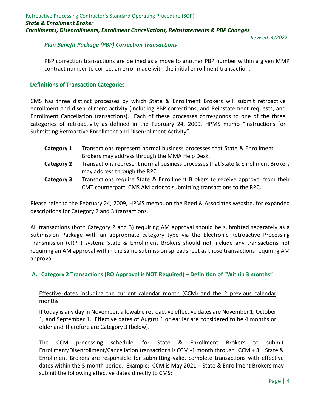# <span id="page-5-0"></span>*Plan Benefit Package (PBP) Correction Transactions*

PBP correction transactions are defined as a move to another PBP number within a given MMP contract number to correct an error made with the initial enrollment transaction.

# <span id="page-5-1"></span>**Definitions of Transaction Categories**

CMS has three distinct processes by which State & Enrollment Brokers will submit retroactive enrollment and disenrollment activity (including PBP corrections, and Reinstatement requests, and Enrollment Cancellation transactions). Each of these processes corresponds to one of the three categories of retroactivity as defined in the February 24, 2009, HPMS memo "Instructions for Submitting Retroactive Enrollment and Disenrollment Activity":

- **Category 1** Transactions represent normal business processes that State & Enrollment Brokers may address through the MMA Help Desk.
- **Category 2** Transactions represent normal business processes that State & Enrollment Brokers may address through the RPC
- **Category 3** Transactions require State & Enrollment Brokers to receive approval from their CMT counterpart, CMS AM prior to submitting transactions to the RPC.

Please refer to the February 24, 2009, HPMS memo, on the Reed & Associates website, for expanded descriptions for Category 2 and 3 transactions.

All transactions (both Category 2 and 3) requiring AM approval should be submitted separately as a Submission Package with an appropriate category type via the Electronic Retroactive Processing Transmission (eRPT) system. State & Enrollment Brokers should not include any transactions not requiring an AM approval within the same submission spreadsheet as those transactions requiring AM approval.

# <span id="page-5-2"></span>**A. Category 2 Transactions (RO Approval is NOT Required) – Definition of "Within 3 months"**

# Effective dates including the current calendar month (CCM) and the 2 previous calendar months

If today is any day in November, allowable retroactive effective dates are November 1, October 1, and September 1. Effective dates of August 1 or earlier are considered to be 4 months or older and therefore are Category 3 (below).

The CCM processing schedule for State & Enrollment Brokers to submit Enrollment/Disenrollment/Cancellation transactions is CCM -1 month through CCM + 3. State & Enrollment Brokers are responsible for submitting valid, complete transactions with effective dates within the 5-month period. Example: CCM is May 2021 – State & Enrollment Brokers may submit the following effective dates directly to CMS: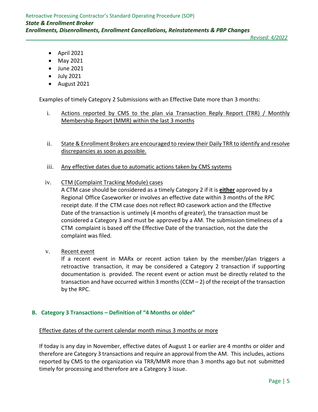- April 2021
- May 2021
- June 2021
- July 2021
- August 2021

Examples of timely Category 2 Submissions with an Effective Date more than 3 months:

- i. Actions reported by CMS to the plan via Transaction Reply Report (TRR) / Monthly Membership Report (MMR) within the last 3 months
- ii. State & Enrollment Brokers are encouraged to review their Daily TRR to identify and resolve discrepancies as soon as possible.
- iii. Any effective dates due to automatic actions taken by CMS systems
- iv. CTM (Complaint Tracking Module) cases

A CTM case should be considered as a timely Category 2 if it is **either** approved by a Regional Office Caseworker or involves an effective date within 3 months of the RPC receipt date. If the CTM case does not reflect RO casework action and the Effective Date of the transaction is untimely (4 months of greater), the transaction must be considered a Category 3 and must be approved by a AM. The submission timeliness of a CTM complaint is based off the Effective Date of the transaction, not the date the complaint was filed.

v. Recent event

If a recent event in MARx or recent action taken by the member/plan triggers a retroactive transaction, it may be considered a Category 2 transaction if supporting documentation is provided. The recent event or action must be directly related to the transaction and have occurred within 3 months (CCM  $-$  2) of the receipt of the transaction by the RPC.

#### <span id="page-6-0"></span>**B. Category 3 Transactions – Definition of "4 Months or older"**

#### Effective dates of the current calendar month minus 3 months or more

If today is any day in November, effective dates of August 1 or earlier are 4 months or older and therefore are Category 3 transactions and require an approval from the AM. This includes, actions reported by CMS to the organization via TRR/MMR more than 3 months ago but not submitted timely for processing and therefore are a Category 3 issue.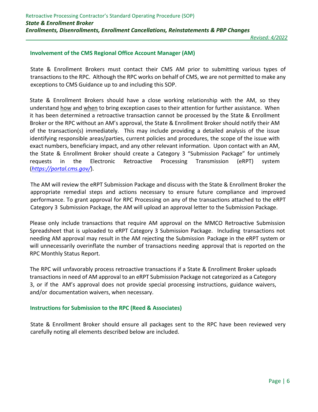# <span id="page-7-0"></span>**Involvement of the CMS Regional Office Account Manager (AM)**

State & Enrollment Brokers must contact their CMS AM prior to submitting various types of transactions to the RPC. Although the RPC works on behalf of CMS, we are not permitted to make any exceptions to CMS Guidance up to and including this SOP.

State & Enrollment Brokers should have a close working relationship with the AM, so they understand how and when to bring exception cases to their attention for further assistance. When it has been determined a retroactive transaction cannot be processed by the State & Enrollment Broker or the RPC without an AM's approval, the State & Enrollment Broker should notify their AM of the transaction(s) immediately. This may include providing a detailed analysis of the issue identifying responsible areas/parties, current policies and procedures, the scope of the issue with exact numbers, beneficiary impact, and any other relevant information. Upon contact with an AM, the State & Enrollment Broker should create a Category 3 "Submission Package" for untimely requests in the Electronic Retroactive Processing Transmission (eRPT) system (*https://portal.cms.gov/*).

The AM will review the eRPT Submission Package and discuss with the State & Enrollment Broker the appropriate remedial steps and actions necessary to ensure future compliance and improved performance. To grant approval for RPC Processing on any of the transactions attached to the eRPT Category 3 Submission Package, the AM will upload an approval letter to the Submission Package.

Please only include transactions that require AM approval on the MMCO Retroactive Submission Spreadsheet that is uploaded to eRPT Category 3 Submission Package. Including transactions not needing AM approval may result in the AM rejecting the Submission Package in the eRPT system or will unnecessarily overinflate the number of transactions needing approval that is reported on the RPC Monthly Status Report.

The RPC will unfavorably process retroactive transactions if a State & Enrollment Broker uploads transactions in need of AM approval to an eRPT Submission Package not categorized as a Category 3, or if the AM's approval does not provide special processing instructions, guidance waivers, and/or documentation waivers, when necessary.

## <span id="page-7-1"></span>**Instructions for Submission to the RPC (Reed & Associates)**

State & Enrollment Broker should ensure all packages sent to the RPC have been reviewed very carefully noting all elements described below are included.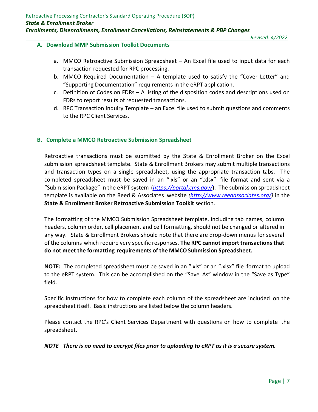## <span id="page-8-0"></span>**A. Download MMP Submission Toolkit Documents**

- a. MMCO Retroactive Submission Spreadsheet An Excel file used to input data for each transaction requested for RPC processing.
- b. MMCO Required Documentation A template used to satisfy the "Cover Letter" and "Supporting Documentation" requirements in the eRPT application.
- c. Definition of Codes on FDRs A listing of the disposition codes and descriptions used on FDRs to report results of requested transactions.
- d. RPC Transaction Inquiry Template an Excel file used to submit questions and comments to the RPC Client Services.

## <span id="page-8-1"></span>**B. Complete a MMCO Retroactive Submission Spreadsheet**

Retroactive transactions must be submitted by the State & Enrollment Broker on the Excel submission spreadsheet template. State & Enrollment Brokers may submit multiple transactions and transaction types on a single spreadsheet, using the appropriate transaction tabs. The completed spreadsheet must be saved in an ".xls" or an ".xlsx" file format and sent via a "Submission Package" in the eRPT system (*https://portal.cms.gov/*). The submission spreadsheet template is available on the Reed & Associates website *[\(http://www.reedassociates.org/\)](http://www.reedassociates.org/))* in the **State & Enrollment Broker Retroactive Submission Toolkit** section.

The formatting of the MMCO Submission Spreadsheet template, including tab names, column headers, column order, cell placement and cell formatting, should not be changed or altered in any way. State & Enrollment Brokers should note that there are drop-down menus for several of the columns which require very specific responses. **The RPC cannot import transactions that do not meet the formatting requirements of the MMCOSubmission Spreadsheet.**

**NOTE:** The completed spreadsheet must be saved in an ".xls" or an ".xlsx" file format to upload to the eRPT system. This can be accomplished on the "Save As" window in the "Save as Type" field.

Specific instructions for how to complete each column of the spreadsheet are included on the spreadsheet itself. Basic instructions are listed below the column headers.

Please contact the RPC's Client Services Department with questions on how to complete the spreadsheet.

*NOTE There is no need to encrypt files prior to uploading to eRPT as it is a secure system.*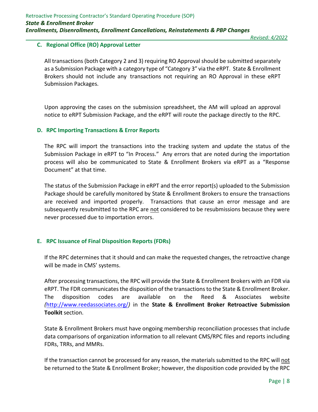# <span id="page-9-0"></span>**C. Regional Office (RO) Approval Letter**

All transactions (both Category 2 and 3) requiring RO Approval should be submitted separately as a Submission Package with a category type of "Category 3" via the eRPT. State & Enrollment Brokers should not include any transactions not requiring an RO Approval in these eRPT Submission Packages.

Upon approving the cases on the submission spreadsheet, the AM will upload an approval notice to eRPT Submission Package, and the eRPT will route the package directly to the RPC.

#### <span id="page-9-1"></span>**D. RPC Importing Transactions & Error Reports**

The RPC will import the transactions into the tracking system and update the status of the Submission Package in eRPT to "In Process." Any errors that are noted during the importation process will also be communicated to State & Enrollment Brokers via eRPT as a "Response Document" at that time.

The status of the Submission Package in eRPT and the error report(s) uploaded to the Submission Package should be carefully monitored by State & Enrollment Brokers to ensure the transactions are received and imported properly. Transactions that cause an error message and are subsequently resubmitted to the RPC are not considered to be resubmissions because they were never processed due to importation errors.

#### <span id="page-9-2"></span>**E. RPC Issuance of Final Disposition Reports (FDRs)**

If the RPC determines that it should and can make the requested changes, the retroactive change will be made in CMS' systems.

After processing transactions, the RPC will provide the State & Enrollment Brokers with an FDR via eRPT. The FDR communicates the disposition of the transactions to the State & Enrollment Broker. The disposition codes are available on the Reed & Associates website *(*http://www.reedassociates.org/*)* in the **State & Enrollment Broker Retroactive Submission Toolkit** section.

State & Enrollment Brokers must have ongoing membership reconciliation processes that include data comparisons of organization information to all relevant CMS/RPC files and reports including FDRs, TRRs, and MMRs.

If the transaction cannot be processed for any reason, the materials submitted to the RPC will not be returned to the State & Enrollment Broker; however, the disposition code provided by the RPC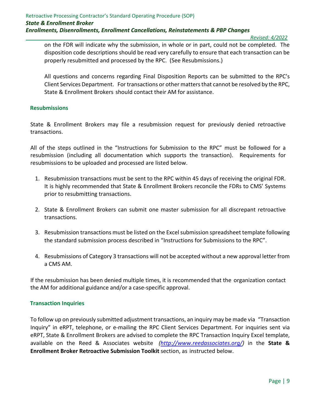on the FDR will indicate why the submission, in whole or in part, could not be completed. The disposition code descriptions should be read very carefully to ensure that each transaction can be properly resubmitted and processed by the RPC. (See Resubmissions.)

All questions and concerns regarding Final Disposition Reports can be submitted to the RPC's Client Services Department. Fortransactions or other mattersthat cannot be resolved by the RPC, State & Enrollment Brokers should contact their AM for assistance.

#### <span id="page-10-0"></span>**Resubmissions**

State & Enrollment Brokers may file a resubmission request for previously denied retroactive transactions.

All of the steps outlined in the "Instructions for Submission to the RPC" must be followed for a resubmission (including all documentation which supports the transaction). Requirements for resubmissions to be uploaded and processed are listed below.

- 1. Resubmission transactions must be sent to the RPC within 45 days of receiving the original FDR. It is highly recommended that State & Enrollment Brokers reconcile the FDRs to CMS' Systems prior to resubmitting transactions.
- 2. State & Enrollment Brokers can submit one master submission for all discrepant retroactive transactions.
- 3. Resubmission transactions must be listed on the Excel submission spreadsheet template following the standard submission process described in "Instructions for Submissions to the RPC".
- 4. Resubmissions of Category 3 transactions will not be accepted without a new approval letter from a CMS AM.

If the resubmission has been denied multiple times, it is recommended that the organization contact the AM for additional guidance and/or a case‐specific approval.

## <span id="page-10-1"></span>**Transaction Inquiries**

To follow up on previously submitted adjustment transactions, an inquiry may be made via "Transaction Inquiry" in eRPT, telephone, or e-mailing the RPC Client Services Department. For inquiries sent via eRPT, State & Enrollment Brokers are advised to complete the RPC Transaction Inquiry Excel template, available on the Reed & Associates website *[\(http://www.reedassociates.org/\)](http://www.reedassociates.org/))* in the **State & Enrollment Broker Retroactive Submission Toolkit** section, as instructed below.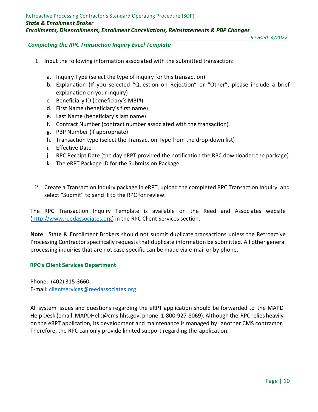## <span id="page-11-0"></span>*Completing the RPC Transaction Inquiry Excel Template*

- 1. Input the following information associated with the submitted transaction:
	- a. Inquiry Type (select the type of inquiry for this transaction)
	- b. Explanation (If you selected "Question on Rejection" or "Other", please include a brief explanation on your inquiry)
	- c. Beneficiary ID (beneficiary's MBI#)
	- d. First Name (beneficiary's first name)
	- e. Last Name (beneficiary's last name)
	- f. Contract Number (contract number associated with the transaction)
	- g. PBP Number (if appropriate)
	- h. Transaction type (select the Transaction Type from the drop-down list)
	- i. Effective Date
	- j. RPC Receipt Date (the day eRPT provided the notification the RPC downloaded the package)
	- k. The eRPT Package ID for the Submission Package
- 2. Create a Transaction Inquiry package in eRPT, upload the completed RPC Transaction Inquiry, and select "Submit" to send it to the RPC for review.

The RPC Transaction Inquiry Template is available on the Reed and Associates website [\(http://www.reedassociates.org\)](http://www.reedassociates.org/) in the RPC Client Services section.

**Note**: State & Enrollment Brokers should not submit duplicate transactions unless the Retroactive Processing Contractor specifically requests that duplicate information be submitted. All other general processing inquiries that are not case specific can be made via e-mail or by phone.

#### <span id="page-11-1"></span>**RPC's Client Services Department**

Phone: (402) 315-3660 E-mail: [clientservices@reedassociates.org](mailto:clientservices@reedassociates.org)

All system issues and questions regarding the eRPT application should be forwarded to the MAPD Help Desk (email: MAPDHelp@cms.hhs.gov; phone: 1-800-927-8069). Although the RPC relies heavily on the eRPT application, its development and maintenance is managed by another CMS contractor. Therefore, the RPC can only provide limited support regarding the application.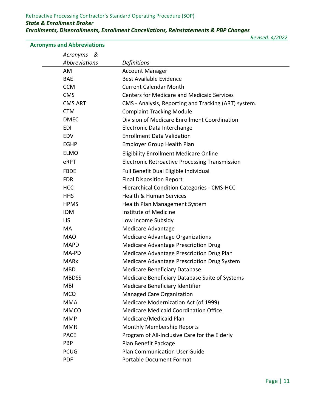<span id="page-12-0"></span>**Acronyms and Abbreviations**

 *Revised: 4/2022*

| Acronyms<br>&        |                                                       |
|----------------------|-------------------------------------------------------|
| <b>Abbreviations</b> | <b>Definitions</b>                                    |
| AM                   | <b>Account Manager</b>                                |
| <b>BAE</b>           | <b>Best Available Evidence</b>                        |
| <b>CCM</b>           | <b>Current Calendar Month</b>                         |
| <b>CMS</b>           | <b>Centers for Medicare and Medicaid Services</b>     |
| <b>CMS ART</b>       | CMS - Analysis, Reporting and Tracking (ART) system.  |
| <b>CTM</b>           | <b>Complaint Tracking Module</b>                      |
| <b>DMEC</b>          | Division of Medicare Enrollment Coordination          |
| EDI                  | Electronic Data Interchange                           |
| <b>EDV</b>           | <b>Enrollment Data Validation</b>                     |
| <b>EGHP</b>          | <b>Employer Group Health Plan</b>                     |
| <b>ELMO</b>          | <b>Eligibility Enrollment Medicare Online</b>         |
| eRPT                 | <b>Electronic Retroactive Processing Transmission</b> |
| <b>FBDE</b>          | Full Benefit Dual Eligible Individual                 |
| <b>FDR</b>           | <b>Final Disposition Report</b>                       |
| <b>HCC</b>           | <b>Hierarchical Condition Categories - CMS-HCC</b>    |
| <b>HHS</b>           | <b>Health &amp; Human Services</b>                    |
| <b>HPMS</b>          | Health Plan Management System                         |
| <b>IOM</b>           | Institute of Medicine                                 |
| <b>LIS</b>           | Low Income Subsidy                                    |
| <b>MA</b>            | Medicare Advantage                                    |
| <b>MAO</b>           | <b>Medicare Advantage Organizations</b>               |
| <b>MAPD</b>          | <b>Medicare Advantage Prescription Drug</b>           |
| MA-PD                | Medicare Advantage Prescription Drug Plan             |
| <b>MARx</b>          | Medicare Advantage Prescription Drug System           |
| <b>MBD</b>           | <b>Medicare Beneficiary Database</b>                  |
| <b>MBDSS</b>         | Medicare Beneficiary Database Suite of Systems        |
| MBI                  | Medicare Beneficiary Identifier                       |
| <b>MCO</b>           | <b>Managed Care Organization</b>                      |
| <b>MMA</b>           | Medicare Modernization Act (of 1999)                  |
| <b>MMCO</b>          | <b>Medicare Medicaid Coordination Office</b>          |
| <b>MMP</b>           | Medicare/Medicaid Plan                                |
| <b>MMR</b>           | Monthly Membership Reports                            |
| <b>PACE</b>          | Program of All-Inclusive Care for the Elderly         |
| PBP                  | Plan Benefit Package                                  |
| <b>PCUG</b>          | <b>Plan Communication User Guide</b>                  |
| <b>PDF</b>           | <b>Portable Document Format</b>                       |